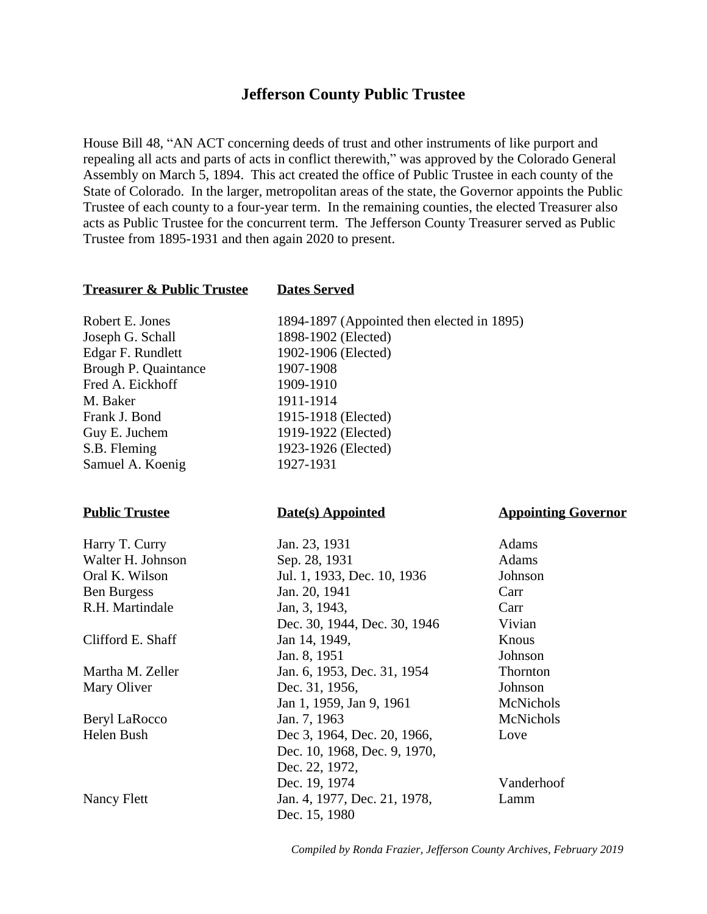# **Jefferson County Public Trustee**

House Bill 48, "AN ACT concerning deeds of trust and other instruments of like purport and repealing all acts and parts of acts in conflict therewith," was approved by the Colorado General Assembly on March 5, 1894. This act created the office of Public Trustee in each county of the State of Colorado. In the larger, metropolitan areas of the state, the Governor appoints the Public Trustee of each county to a four-year term. In the remaining counties, the elected Treasurer also acts as Public Trustee for the concurrent term. The Jefferson County Treasurer served as Public Trustee from 1895-1931 and then again 2020 to present.

### **Treasurer & Public Trustee Dates Served**

Joseph G. Schall 1898-1902 (Elected) Edgar F. Rundlett 1902-1906 (Elected) Brough P. Quaintance 1907-1908 Fred A. Eickhoff 1909-1910 M. Baker 1911-1914 Frank J. Bond 1915-1918 (Elected) Guy E. Juchem 1919-1922 (Elected) S.B. Fleming 1923-1926 (Elected) Samuel A. Koenig 1927-1931

Robert E. Jones 1894-1897 (Appointed then elected in 1895)

**Public Trustee Date(s) Appointed Appointing Governor** 

| Harry T. Curry       | Jan. 23, 1931                | Adams            |
|----------------------|------------------------------|------------------|
| Walter H. Johnson    | Sep. 28, 1931                | Adams            |
| Oral K. Wilson       | Jul. 1, 1933, Dec. 10, 1936  | Johnson          |
| <b>Ben Burgess</b>   | Jan. 20, 1941                | Carr             |
| R.H. Martindale      | Jan, 3, 1943,                | Carr             |
|                      | Dec. 30, 1944, Dec. 30, 1946 | Vivian           |
| Clifford E. Shaff    | Jan 14, 1949,                | Knous            |
|                      | Jan. 8, 1951                 | Johnson          |
| Martha M. Zeller     | Jan. 6, 1953, Dec. 31, 1954  | Thornton         |
| Mary Oliver          | Dec. 31, 1956,               | Johnson          |
|                      | Jan 1, 1959, Jan 9, 1961     | McNichols        |
| <b>Beryl LaRocco</b> | Jan. 7, 1963                 | <b>McNichols</b> |
| Helen Bush           | Dec 3, 1964, Dec. 20, 1966,  | Love             |
|                      | Dec. 10, 1968, Dec. 9, 1970, |                  |
|                      | Dec. 22, 1972,               |                  |
|                      | Dec. 19, 1974                | Vanderhoof       |
| Nancy Flett          | Jan. 4, 1977, Dec. 21, 1978, | Lamm             |
|                      | Dec. 15, 1980                |                  |